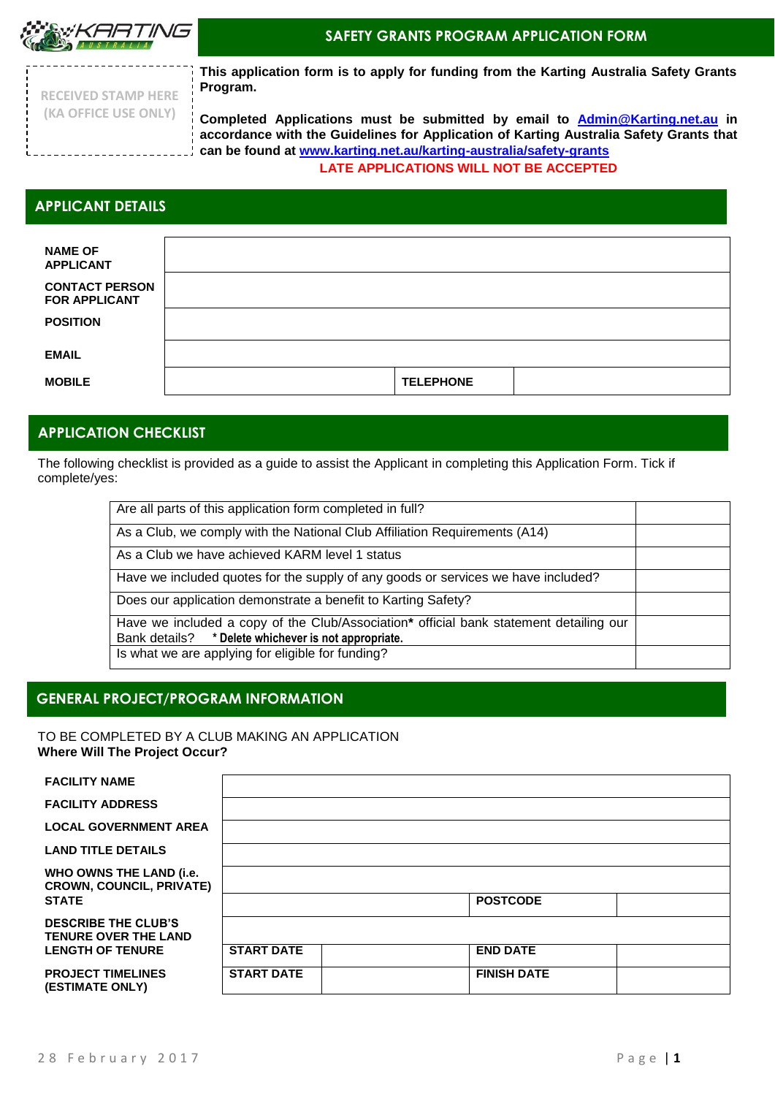

## **SAFETY GRANTS PROGRAM APPLICATION FORM**

**RECEIVED STAMP HERE (KA OFFICE USE ONLY)**

**This application form is to apply for funding from the Karting Australia Safety Grants Program.** 

**Completed Applications must be submitted by email to [Admin@Karting.net.au](mailto:Admin@Karting.net.au) in accordance with the Guidelines for Application of Karting Australia Safety Grants that can be found at [www.karting.net.au/karting-australia/safety-grants](http://www.karting.net.au/karting-australia/safety-grants) LATE APPLICATIONS WILL NOT BE ACCEPTED**

# **APPLICANT DETAILS**

| <b>NAME OF</b><br><b>APPLICANT</b>            |                  |  |
|-----------------------------------------------|------------------|--|
| <b>CONTACT PERSON</b><br><b>FOR APPLICANT</b> |                  |  |
| <b>POSITION</b>                               |                  |  |
| <b>EMAIL</b>                                  |                  |  |
| <b>MOBILE</b>                                 | <b>TELEPHONE</b> |  |

# **APPLICATION CHECKLIST**

The following checklist is provided as a guide to assist the Applicant in completing this Application Form. Tick if complete/yes:

| Are all parts of this application form completed in full?                              |  |  |  |  |
|----------------------------------------------------------------------------------------|--|--|--|--|
|                                                                                        |  |  |  |  |
| As a Club, we comply with the National Club Affiliation Requirements (A14)             |  |  |  |  |
|                                                                                        |  |  |  |  |
| As a Club we have achieved KARM level 1 status                                         |  |  |  |  |
|                                                                                        |  |  |  |  |
| Have we included quotes for the supply of any goods or services we have included?      |  |  |  |  |
|                                                                                        |  |  |  |  |
| Does our application demonstrate a benefit to Karting Safety?                          |  |  |  |  |
|                                                                                        |  |  |  |  |
| Have we included a copy of the Club/Association* official bank statement detailing our |  |  |  |  |
|                                                                                        |  |  |  |  |
| Bank details? * Delete whichever is not appropriate.                                   |  |  |  |  |
| Is what we are applying for eligible for funding?                                      |  |  |  |  |
|                                                                                        |  |  |  |  |
|                                                                                        |  |  |  |  |

# **GENERAL PROJECT/PROGRAM INFORMATION**

TO BE COMPLETED BY A CLUB MAKING AN APPLICATION **Where Will The Project Occur?**

### **FACILITY NAME**

**FACILITY ADDRESS**

**PROJECT TIMELINES (ESTIMATE ONLY)**

| <b>LOCAL GOVERNMENT AREA</b>                               |                   |                    |  |
|------------------------------------------------------------|-------------------|--------------------|--|
| <b>LAND TITLE DETAILS</b>                                  |                   |                    |  |
| WHO OWNS THE LAND (i.e.<br><b>CROWN, COUNCIL, PRIVATE)</b> |                   |                    |  |
| STATE                                                      |                   | <b>POSTCODE</b>    |  |
| <b>DESCRIBE THE CLUB'S</b><br><b>TENURE OVER THE LAND</b>  |                   |                    |  |
| <b>LENGTH OF TENURE</b>                                    | <b>START DATE</b> | <b>END DATE</b>    |  |
| <b>PROJECT TIMELINES</b><br>(FSTIMATF ONI Y)               | <b>START DATE</b> | <b>FINISH DATE</b> |  |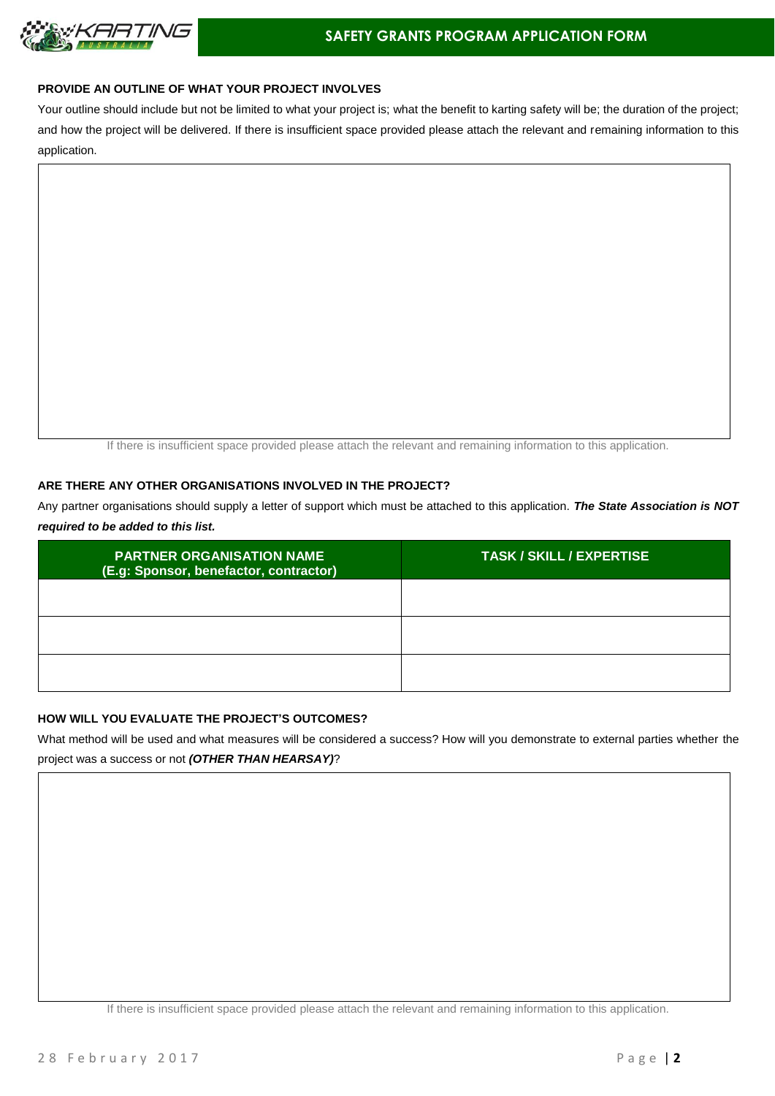

## **PROVIDE AN OUTLINE OF WHAT YOUR PROJECT INVOLVES**

Your outline should include but not be limited to what your project is; what the benefit to karting safety will be; the duration of the project; and how the project will be delivered. If there is insufficient space provided please attach the relevant and remaining information to this application.

If there is insufficient space provided please attach the relevant and remaining information to this application.

### **ARE THERE ANY OTHER ORGANISATIONS INVOLVED IN THE PROJECT?**

Any partner organisations should supply a letter of support which must be attached to this application. *The State Association is NOT required to be added to this list.* 

| <b>PARTNER ORGANISATION NAME</b><br>(E.g: Sponsor, benefactor, contractor) | <b>TASK / SKILL / EXPERTISE</b> |
|----------------------------------------------------------------------------|---------------------------------|
|                                                                            |                                 |
|                                                                            |                                 |
|                                                                            |                                 |

## **HOW WILL YOU EVALUATE THE PROJECT'S OUTCOMES?**

What method will be used and what measures will be considered a success? How will you demonstrate to external parties whether the project was a success or not *(OTHER THAN HEARSAY)*?

If there is insufficient space provided please attach the relevant and remaining information to this application.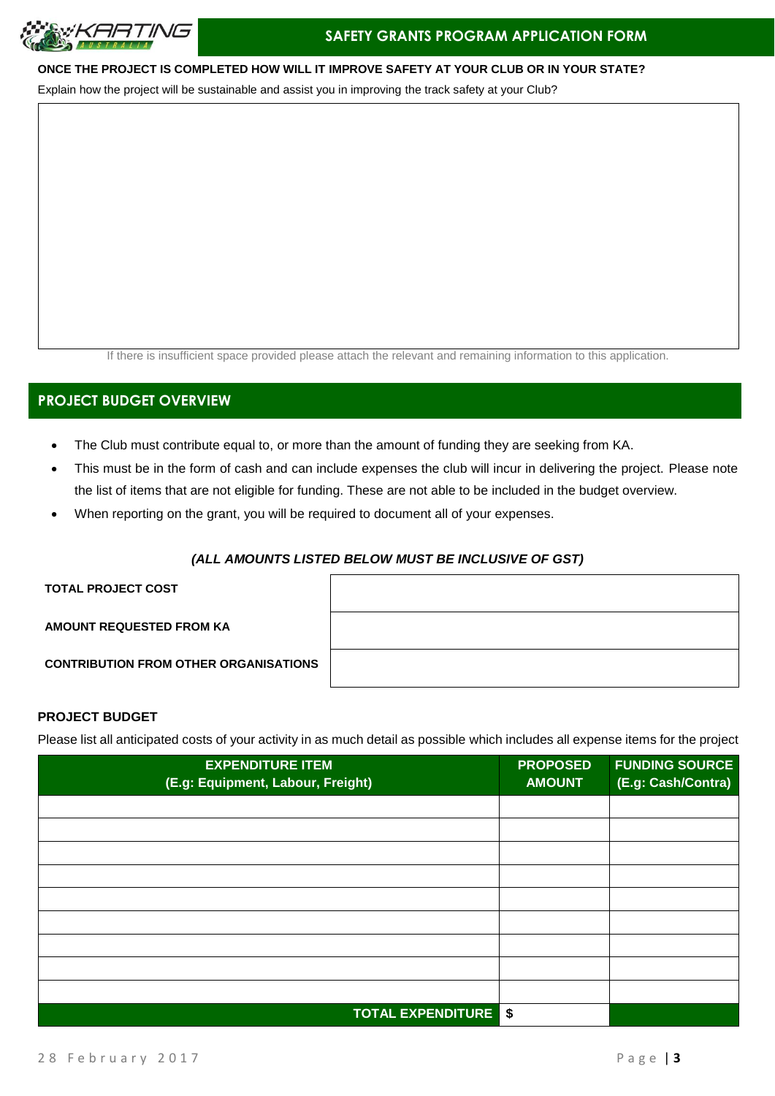

## **ONCE THE PROJECT IS COMPLETED HOW WILL IT IMPROVE SAFETY AT YOUR CLUB OR IN YOUR STATE?**

Explain how the project will be sustainable and assist you in improving the track safety at your Club?

If there is insufficient space provided please attach the relevant and remaining information to this application.

# **PROJECT BUDGET OVERVIEW**

- The Club must contribute equal to, or more than the amount of funding they are seeking from KA.
- This must be in the form of cash and can include expenses the club will incur in delivering the project. Please note the list of items that are not eligible for funding. These are not able to be included in the budget overview.
- When reporting on the grant, you will be required to document all of your expenses.

### *(ALL AMOUNTS LISTED BELOW MUST BE INCLUSIVE OF GST)*

**TOTAL PROJECT COST** 

**AMOUNT REQUESTED FROM KA** 

**CONTRIBUTION FROM OTHER ORGANISATIONS**

## **PROJECT BUDGET**

Please list all anticipated costs of your activity in as much detail as possible which includes all expense items for the project

| <b>EXPENDITURE ITEM</b><br>(E.g: Equipment, Labour, Freight) | <b>PROPOSED</b><br><b>AMOUNT</b> | <b>FUNDING SOURCE</b><br>(E.g: Cash/Contra) |
|--------------------------------------------------------------|----------------------------------|---------------------------------------------|
|                                                              |                                  |                                             |
|                                                              |                                  |                                             |
|                                                              |                                  |                                             |
|                                                              |                                  |                                             |
|                                                              |                                  |                                             |
|                                                              |                                  |                                             |
|                                                              |                                  |                                             |
|                                                              |                                  |                                             |
|                                                              |                                  |                                             |
| <b>TOTAL EXPENDITURE \$</b>                                  |                                  |                                             |